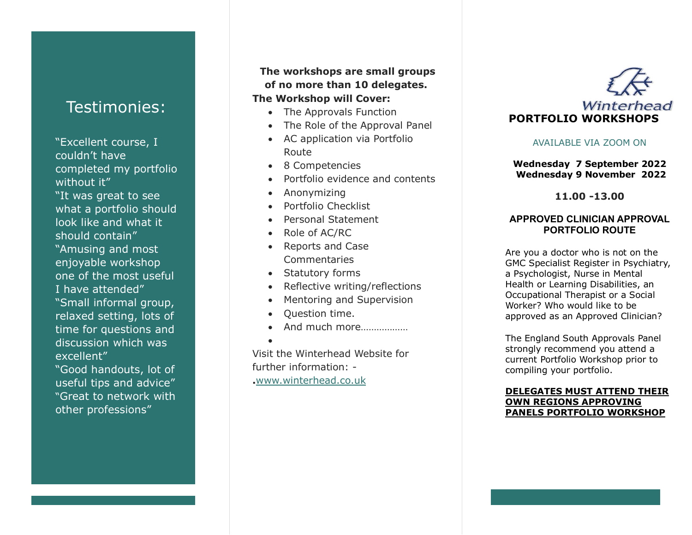# Testimonies:

"Excellent course, I couldn't have completed my portfolio without it" "It was great to see what a portfolio should look like and what it should contain" "Amusing and most enjoyable workshop one of the most useful I have attended" "Small informal group, relaxed setting, lots of time for questions and discussion which was excellent"

"Good handouts, lot of useful tips and advice" "Great to network with other professions"

## **The workshops are small groups of no more than 10 delegates.**

## **The Workshop will Cover:**

- The Approvals Function
- The Role of the Approval Panel
- AC application via Portfolio Route
- 8 Competencies
- Portfolio evidence and contents
- Anonymizing
- Portfolio Checklist
- Personal Statement
- Role of AC/RC
- Reports and Case Commentaries
- Statutory forms
- Reflective writing/reflections
- Mentoring and Supervision
- Question time.

•

• And much more………………

Visit the Winterhead Website for further information: - **.**[www.winterhead.co.uk](http://www.winterhead.co.uk/)



## AVAILABLE VIA ZOOM ON

### **Wednesday 7 September 2022 Wednesday 9 November 2022**

**11.00 -13.00**

### **APPROVED CLINICIAN APPROVAL PORTFOLIO ROUTE**

Are you a doctor who is not on the GMC Specialist Register in Psychiatry, a Psychologist, Nurse in Mental Health or Learning Disabilities, an Occupational Therapist or a Social Worker? Who would like to be approved as an Approved Clinician?

The England South Approvals Panel strongly recommend you attend a current Portfolio Workshop prior to compiling your portfolio .

#### **DELEGATES MUST ATTEND THEIR OWN REGIONS APPROVING PANELS PORTFOLIO WORKSHOP**